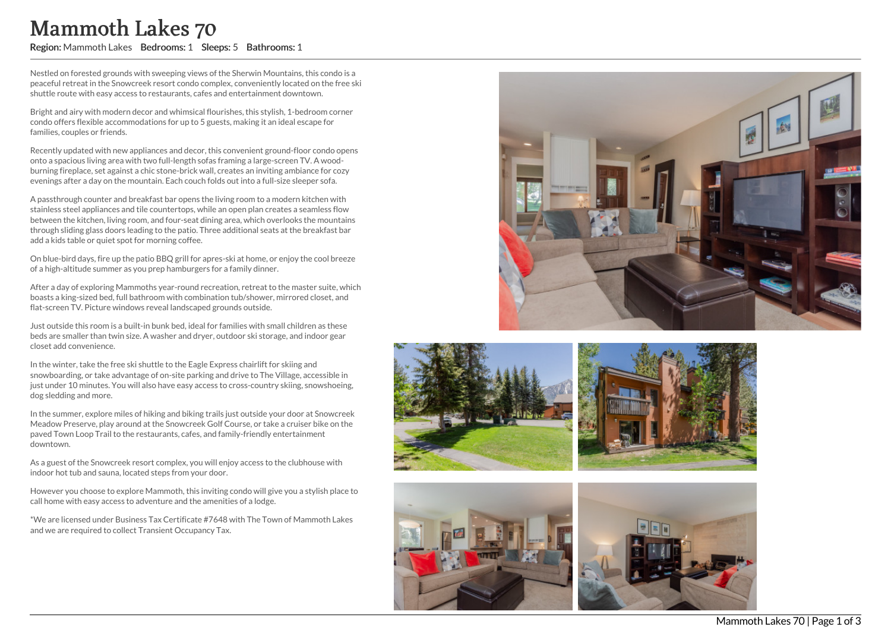## Mammoth Lakes 70

## Region: Mammoth Lakes Bedrooms: 1 Sleeps: 5 Bathrooms: 1

Nestled on forested grounds with sweeping views of the Sherwin Mountains, this condo is a peaceful retreat in the Snowcreek resort condo complex, conveniently located on the free ski shuttle route with easy access to restaurants, cafes and entertainment downtown.

Bright and airy with modern decor and whimsical flourishes, this stylish, 1-bedroom corner condo offers flexible accommodations for up to 5 guests, making it an ideal escape for families, couples or friends.

Recently updated with new appliances and decor, this convenient ground-floor condo opens onto a spacious living area with two full-length sofas framing a large-screen TV. A woodburning fireplace, set against a chic stone-brick wall, creates an inviting ambiance for cozy evenings after a day on the mountain. Each couch folds out into a full-size sleeper sofa.

A passthrough counter and breakfast bar opens the living room to a modern kitchen with stainless steel appliances and tile countertops, while an open plan creates a seamless flow between the kitchen, living room, and four-seat dining area, which overlooks the mountains through sliding glass doors leading to the patio. Three additional seats at the breakfast bar add a kids table or quiet spot for morning coffee.

On blue-bird days, fire up the patio BBQ grill for apres-ski at home, or enjoy the cool breeze of a high-altitude summer as you prep hamburgers for a family dinner.

After a day of exploring Mammoths year-round recreation, retreat to the master suite, which boasts a king-sized bed, full bathroom with combination tub/shower, mirrored closet, and flat-screen TV. Picture windows reveal landscaped grounds outside.

Just outside this room is a built-in bunk bed, ideal for families with small children as these beds are smaller than twin size. A washer and dryer, outdoor ski storage, and indoor gear closet add convenience.

In the winter, take the free ski shuttle to the Eagle Express chairlift for skiing and snowboarding, or take advantage of on-site parking and drive to The Village, accessible in just under 10 minutes. You will also have easy access to cross-country skiing, snowshoeing, dog sledding and more.

In the summer, explore miles of hiking and biking trails just outside your door at Snowcreek Meadow Preserve, play around at the Snowcreek Golf Course, or take a cruiser bike on the paved Town Loop Trail to the restaurants, cafes, and family-friendly entertainment downtown.

As a guest of the Snowcreek resort complex, you will enjoy access to the clubhouse with indoor hot tub and sauna, located steps from your door.

However you choose to explore Mammoth, this inviting condo will give you a stylish place to call home with easy access to adventure and the amenities of a lodge.

\*We are licensed under Business Tax Certificate #7648 with The Town of Mammoth Lakes and we are required to collect Transient Occupancy Tax.









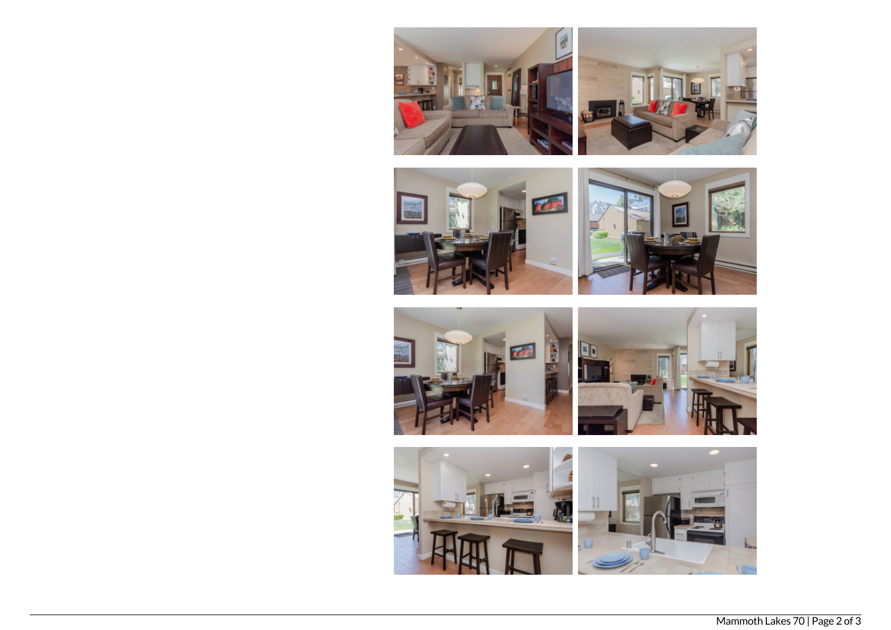